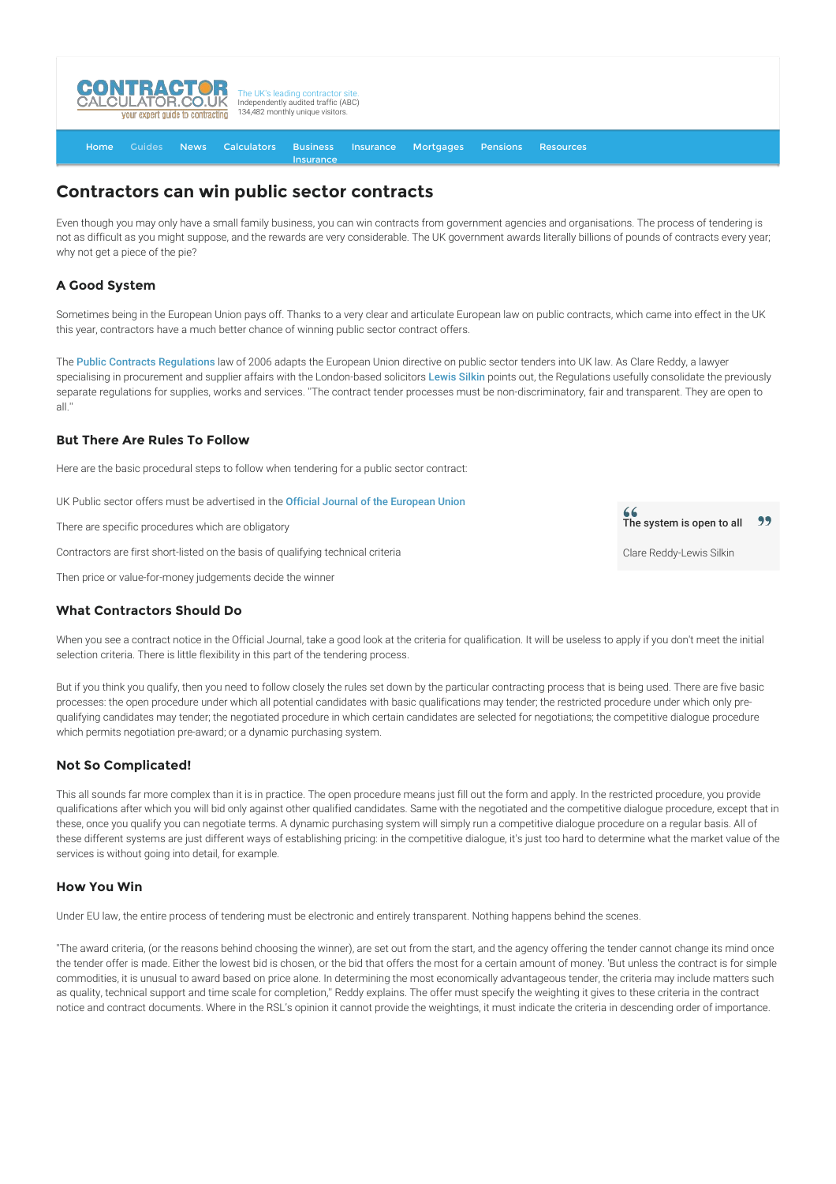

[Home](http://www.contractorcalculator.co.uk/) [Guides](http://www.contractorcalculator.co.uk/Articles.aspx) [News](http://www.contractorcalculator.co.uk/Contractor_News.aspx) [Calculators](http://www.contractorcalculator.co.uk/Calculators.aspx) Business [Insurance](http://www.contractorcalculator.co.uk/Contractor_Insurances.aspx) [Insurance](http://www.contractorcalculator.co.uk/Insurance.aspx) [Mortgages](http://www.contractorcalculator.co.uk/Contractor_Mortgages.aspx) [Pensions](http://www.contractorcalculator.co.uk/Contractor_Pensions.aspx) [Resources](http://www.contractorcalculator.co.uk/Contractor_Resources.aspx)

# **Contractors can win public sector contracts**

Even though you may only have a small family business, you can win contracts from government agencies and organisations. The process of tendering is not as difficult as you might suppose, and the rewards are very considerable. The UK government awards literally billions of pounds of contracts every year; why not get a piece of the pie?

## **A Good System**

Sometimes being in the European Union pays off. Thanks to a very clear and articulate European law on public contracts, which came into effect in the UK this year, contractors have a much better chance of winning public sector contract offers.

The [Public Contracts Regulations](http://www.legislation.gov.uk/uksi/2006/5/pdfs/uksi_20060005_en.pdf) law of 2006 adapts the European Union directive on public sector tenders into UK law. As Clare Reddy, a lawyer specialising in procurement and supplier affairs with the London-based solicitors [Lewis Silkin](http://www.lewissilkin.com) points out, the Regulations usefully consolidate the previously separate regulations for supplies, works and services. ''The contract tender processes must be non-discriminatory, fair and transparent. They are open to all.''

### **But There Are Rules To Follow**

Here are the basic procedural steps to follow when tendering for a public sector contract:

UK Public sector offers must be advertised in the [Official Journal of the European Union](http://eur-lex.europa.eu/homepage.html?locale=en)

There are specific procedures which are obligatory

Contractors are first short-listed on the basis of qualifying technical criteria

Then price or value-for-money judgements decide the winner

#### **What Contractors Should Do**

When you see a contract notice in the Official Journal, take a good look at the criteria for qualification. It will be useless to apply if you don't meet the initial selection criteria. There is little flexibility in this part of the tendering process.

But if you think you qualify, then you need to follow closely the rules set down by the particular contracting process that is being used. There are five basic processes: the open procedure under which all potential candidates with basic qualifications may tender; the restricted procedure under which only prequalifying candidates may tender; the negotiated procedure in which certain candidates are selected for negotiations; the competitive dialogue procedure which permits negotiation pre-award; or a dynamic purchasing system.

#### **Not So Complicated!**

This all sounds far more complex than it is in practice. The open procedure means just fill out the form and apply. In the restricted procedure, you provide qualifications after which you will bid only against other qualified candidates. Same with the negotiated and the competitive dialogue procedure, except that in these, once you qualify you can negotiate terms. A dynamic purchasing system will simply run a competitive dialogue procedure on a regular basis. All of these different systems are just different ways of establishing pricing: in the competitive dialogue, it's just too hard to determine what the market value of the services is without going into detail, for example.

#### **How You Win**

Under EU law, the entire process of tendering must be electronic and entirely transparent. Nothing happens behind the scenes.

''The award criteria, (or the reasons behind choosing the winner), are set out from the start, and the agency offering the tender cannot change its mind once the tender offer is made. Either the lowest bid is chosen, or the bid that offers the most for a certain amount of money. 'But unless the contract is for simple commodities, it is unusual to award based on price alone. In determining the most economically advantageous tender, the criteria may include matters such as quality, technical support and time scale for completion,'' Reddy explains. The offer must specify the weighting it gives to these criteria in the contract notice and contract documents. Where in the RSL's opinion it cannot provide the weightings, it must indicate the criteria in descending order of importance.

99 The system is open to all

Clare Reddy-Lewis Silkin